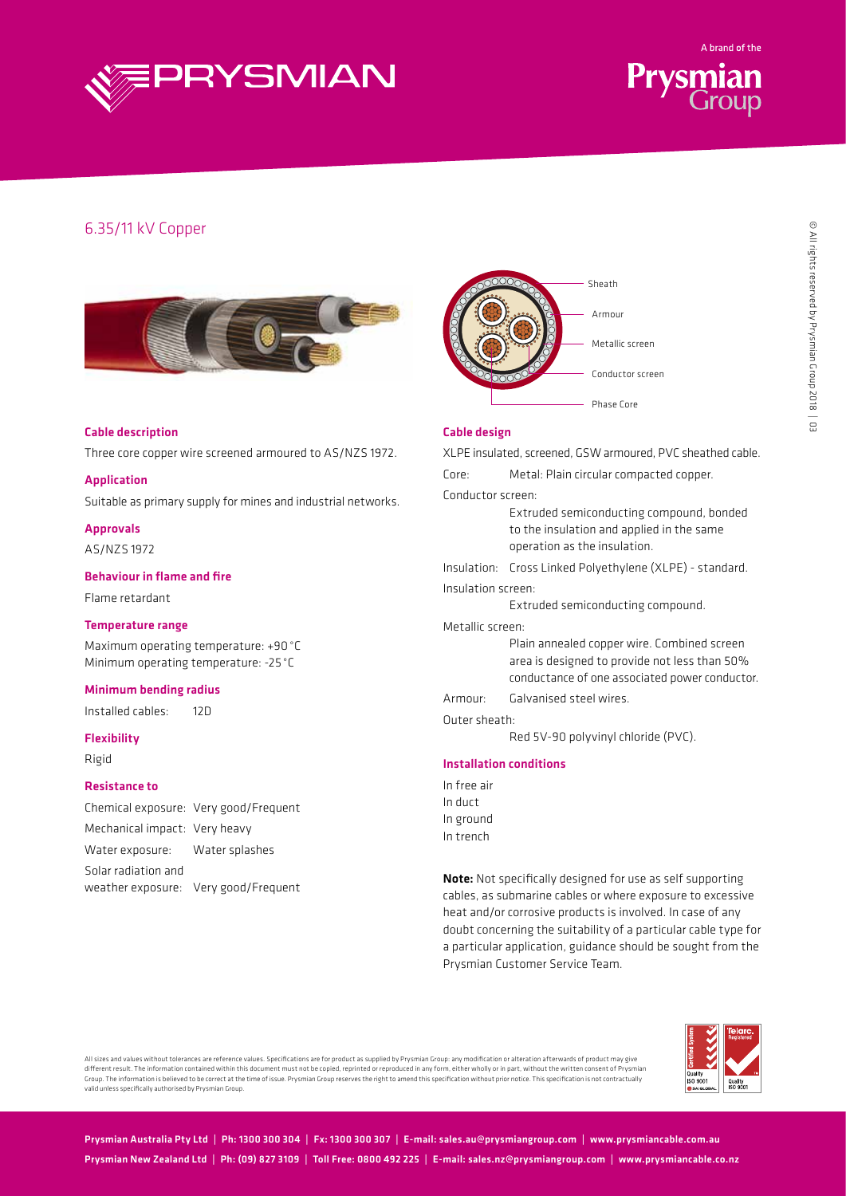



# 6.35/11 kV Copper





# Cable description

Three core copper wire screened armoured to AS/NZS 1972.

#### Application

Suitable as primary supply for mines and industrial networks.

# Approvals

AS/NZS 1972

### Behaviour in flame and fire

Flame retardant

#### Temperature range

Maximum operating temperature: +90°C Minimum operating temperature: -25 °C

#### Minimum bending radius

Installed cables: 12D

## Flexibility

Rigid

#### Resistance to

|                                | Chemical exposure: Very good/Frequent |
|--------------------------------|---------------------------------------|
| Mechanical impact: Very heavy  |                                       |
| Water exposure: Water splashes |                                       |
| Solar radiation and            |                                       |
|                                | weather exposure: Very good/Frequent  |
|                                |                                       |

# Cable design

XLPE insulated, screened, GSW armoured, PVC sheathed cable.

Core: Metal: Plain circular compacted copper.

Conductor screen:

Extruded semiconducting compound, bonded to the insulation and applied in the same operation as the insulation.

Insulation: Cross Linked Polyethylene (XLPE) - standard.

#### Insulation screen:

Extruded semiconducting compound.

#### Metallic screen:

Plain annealed copper wire. Combined screen area is designed to provide not less than 50% conductance of one associated power conductor.

# Armour: Galvanised steel wires.

Outer sheath:

Red 5V-90 polyvinyl chloride (PVC).

#### Installation conditions

In free air In duct In ground In trench

Note: Not specifically designed for use as self supporting cables, as submarine cables or where exposure to excessive heat and/or corrosive products is involved. In case of any doubt concerning the suitability of a particular cable type for a particular application, guidance should be sought from the Prysmian Customer Service Team.



All sizes and values without tolerances are reference values. Specifications are for product as supplied by Prysmian Group: any modification or alteration afterwards of product may give<br>different result. The information co Group. The information is believed to be correct at the time of issue. Prysmian Group reserves the right to amend this specification without prior notice. This specification is not contractually valid unless specifically authorised by Prysmian Group.